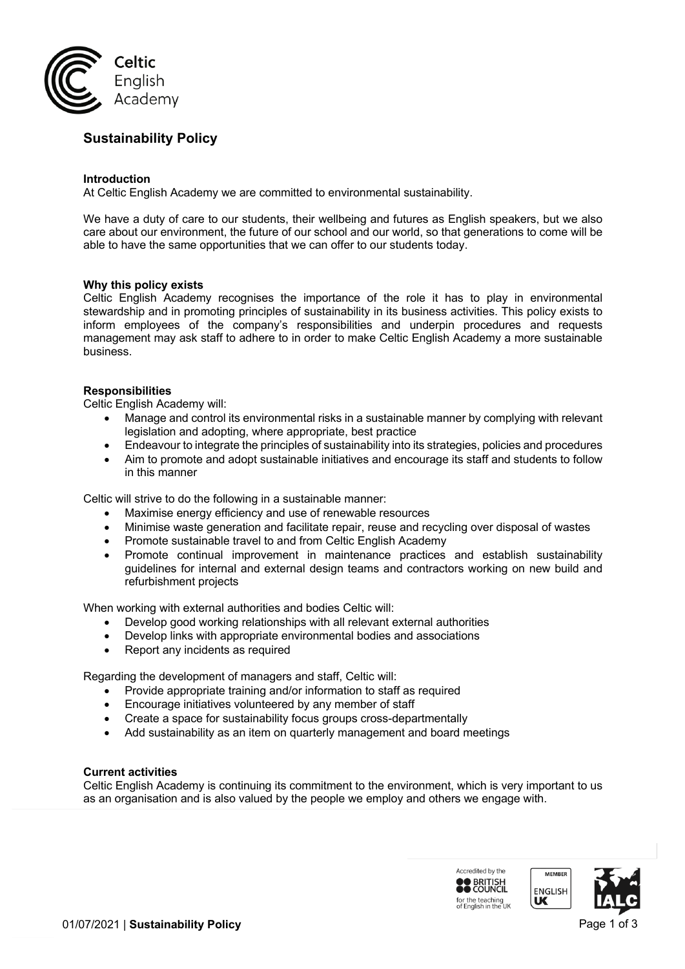

# **Sustainability Policy**

## **Introduction**

At Celtic English Academy we are committed to environmental sustainability.

We have a duty of care to our students, their wellbeing and futures as English speakers, but we also care about our environment, the future of our school and our world, so that generations to come will be able to have the same opportunities that we can offer to our students today.

## **Why this policy exists**

Celtic English Academy recognises the importance of the role it has to play in environmental stewardship and in promoting principles of sustainability in its business activities. This policy exists to inform employees of the company's responsibilities and underpin procedures and requests management may ask staff to adhere to in order to make Celtic English Academy a more sustainable business.

## **Responsibilities**

Celtic English Academy will:

- Manage and control its environmental risks in a sustainable manner by complying with relevant legislation and adopting, where appropriate, best practice
- Endeavour to integrate the principles of sustainability into its strategies, policies and procedures
- Aim to promote and adopt sustainable initiatives and encourage its staff and students to follow in this manner

Celtic will strive to do the following in a sustainable manner:

- Maximise energy efficiency and use of renewable resources
- Minimise waste generation and facilitate repair, reuse and recycling over disposal of wastes
- Promote sustainable travel to and from Celtic English Academy
- Promote continual improvement in maintenance practices and establish sustainability guidelines for internal and external design teams and contractors working on new build and refurbishment projects

When working with external authorities and bodies Celtic will:

- Develop good working relationships with all relevant external authorities
- Develop links with appropriate environmental bodies and associations
- Report any incidents as required

Regarding the development of managers and staff, Celtic will:

- Provide appropriate training and/or information to staff as required
- Encourage initiatives volunteered by any member of staff
- Create a space for sustainability focus groups cross-departmentally
- Add sustainability as an item on quarterly management and board meetings

#### **Current activities**

Celtic English Academy is continuing its commitment to the environment, which is very important to us as an organisation and is also valued by the people we employ and others we engage with.

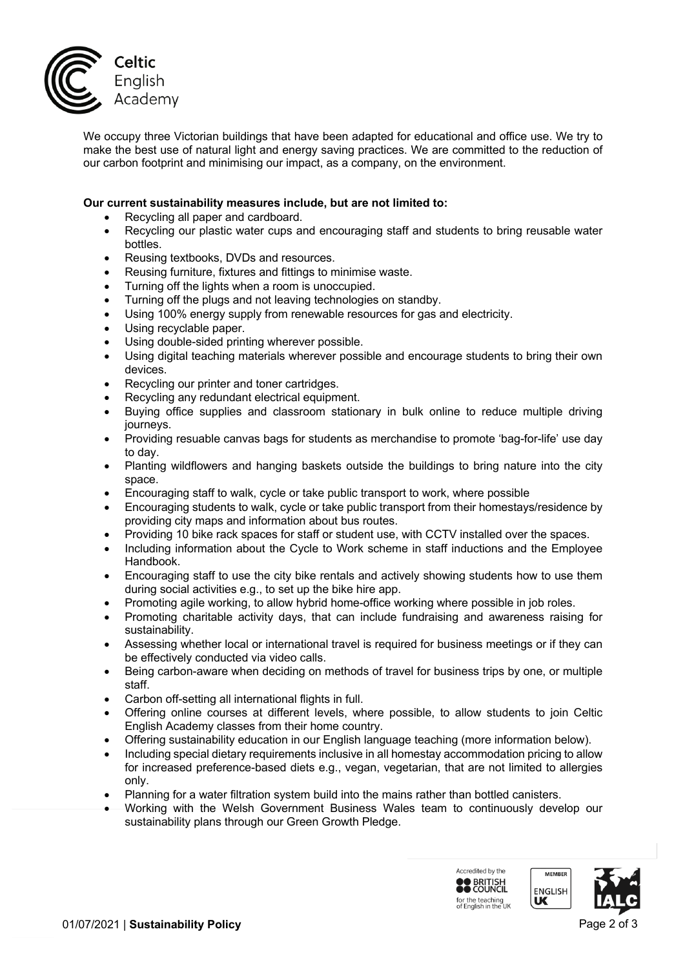

We occupy three Victorian buildings that have been adapted for educational and office use. We try to make the best use of natural light and energy saving practices. We are committed to the reduction of our carbon footprint and minimising our impact, as a company, on the environment.

# **Our current sustainability measures include, but are not limited to:**

- Recycling all paper and cardboard.
- Recycling our plastic water cups and encouraging staff and students to bring reusable water bottles.
- Reusing textbooks, DVDs and resources.
- Reusing furniture, fixtures and fittings to minimise waste.
- Turning off the lights when a room is unoccupied.
- Turning off the plugs and not leaving technologies on standby.
- Using 100% energy supply from renewable resources for gas and electricity.
- Using recyclable paper.
- Using double-sided printing wherever possible.
- Using digital teaching materials wherever possible and encourage students to bring their own devices.
- Recycling our printer and toner cartridges.
- Recycling any redundant electrical equipment.
- Buying office supplies and classroom stationary in bulk online to reduce multiple driving journeys.
- Providing resuable canvas bags for students as merchandise to promote 'bag-for-life' use day to day.
- Planting wildflowers and hanging baskets outside the buildings to bring nature into the city space.
- Encouraging staff to walk, cycle or take public transport to work, where possible
- Encouraging students to walk, cycle or take public transport from their homestays/residence by providing city maps and information about bus routes.
- Providing 10 bike rack spaces for staff or student use, with CCTV installed over the spaces.
- Including information about the Cycle to Work scheme in staff inductions and the Employee Handbook.
- Encouraging staff to use the city bike rentals and actively showing students how to use them during social activities e.g., to set up the bike hire app.
- Promoting agile working, to allow hybrid home-office working where possible in job roles.
- Promoting charitable activity days, that can include fundraising and awareness raising for sustainability.
- Assessing whether local or international travel is required for business meetings or if they can be effectively conducted via video calls.
- Being carbon-aware when deciding on methods of travel for business trips by one, or multiple staff.
- Carbon off-setting all international flights in full.
- Offering online courses at different levels, where possible, to allow students to join Celtic English Academy classes from their home country.
- Offering sustainability education in our English language teaching (more information below).
- Including special dietary requirements inclusive in all homestay accommodation pricing to allow for increased preference-based diets e.g., vegan, vegetarian, that are not limited to allergies only.
- Planning for a water filtration system build into the mains rather than bottled canisters.
- Working with the Welsh Government Business Wales team to continuously develop our sustainability plans through our Green Growth Pledge.